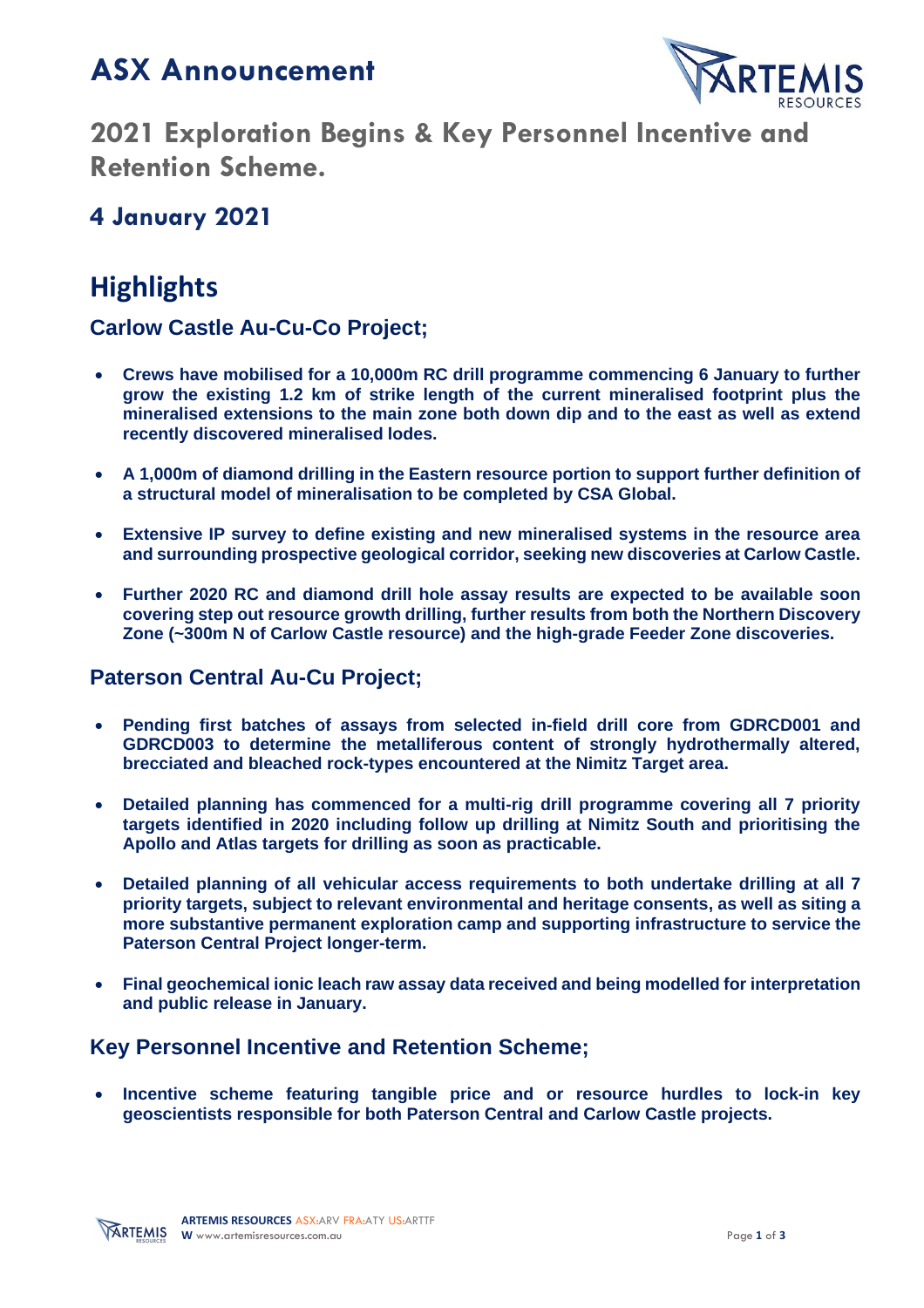# **ASX Announcement**



**2021 Exploration Begins & Key Personnel Incentive and Retention Scheme.**

## **4 January 2021**

# **Highlights**

### **Carlow Castle Au-Cu-Co Project;**

- **Crews have mobilised for a 10,000m RC drill programme commencing 6 January to further grow the existing 1.2 km of strike length of the current mineralised footprint plus the mineralised extensions to the main zone both down dip and to the east as well as extend recently discovered mineralised lodes.**
- **A 1,000m of diamond drilling in the Eastern resource portion to support further definition of a structural model of mineralisation to be completed by CSA Global.**
- **Extensive IP survey to define existing and new mineralised systems in the resource area and surrounding prospective geological corridor, seeking new discoveries at Carlow Castle.**
- **Further 2020 RC and diamond drill hole assay results are expected to be available soon covering step out resource growth drilling, further results from both the Northern Discovery Zone (~300m N of Carlow Castle resource) and the high-grade Feeder Zone discoveries.**

### **Paterson Central Au-Cu Project;**

- **Pending first batches of assays from selected in-field drill core from GDRCD001 and GDRCD003 to determine the metalliferous content of strongly hydrothermally altered, brecciated and bleached rock-types encountered at the Nimitz Target area.**
- **Detailed planning has commenced for a multi-rig drill programme covering all 7 priority targets identified in 2020 including follow up drilling at Nimitz South and prioritising the Apollo and Atlas targets for drilling as soon as practicable.**
- **Detailed planning of all vehicular access requirements to both undertake drilling at all 7 priority targets, subject to relevant environmental and heritage consents, as well as siting a more substantive permanent exploration camp and supporting infrastructure to service the Paterson Central Project longer-term.**
- **Final geochemical ionic leach raw assay data received and being modelled for interpretation and public release in January.**

### **Key Personnel Incentive and Retention Scheme;**

• **Incentive scheme featuring tangible price and or resource hurdles to lock-in key geoscientists responsible for both Paterson Central and Carlow Castle projects.**

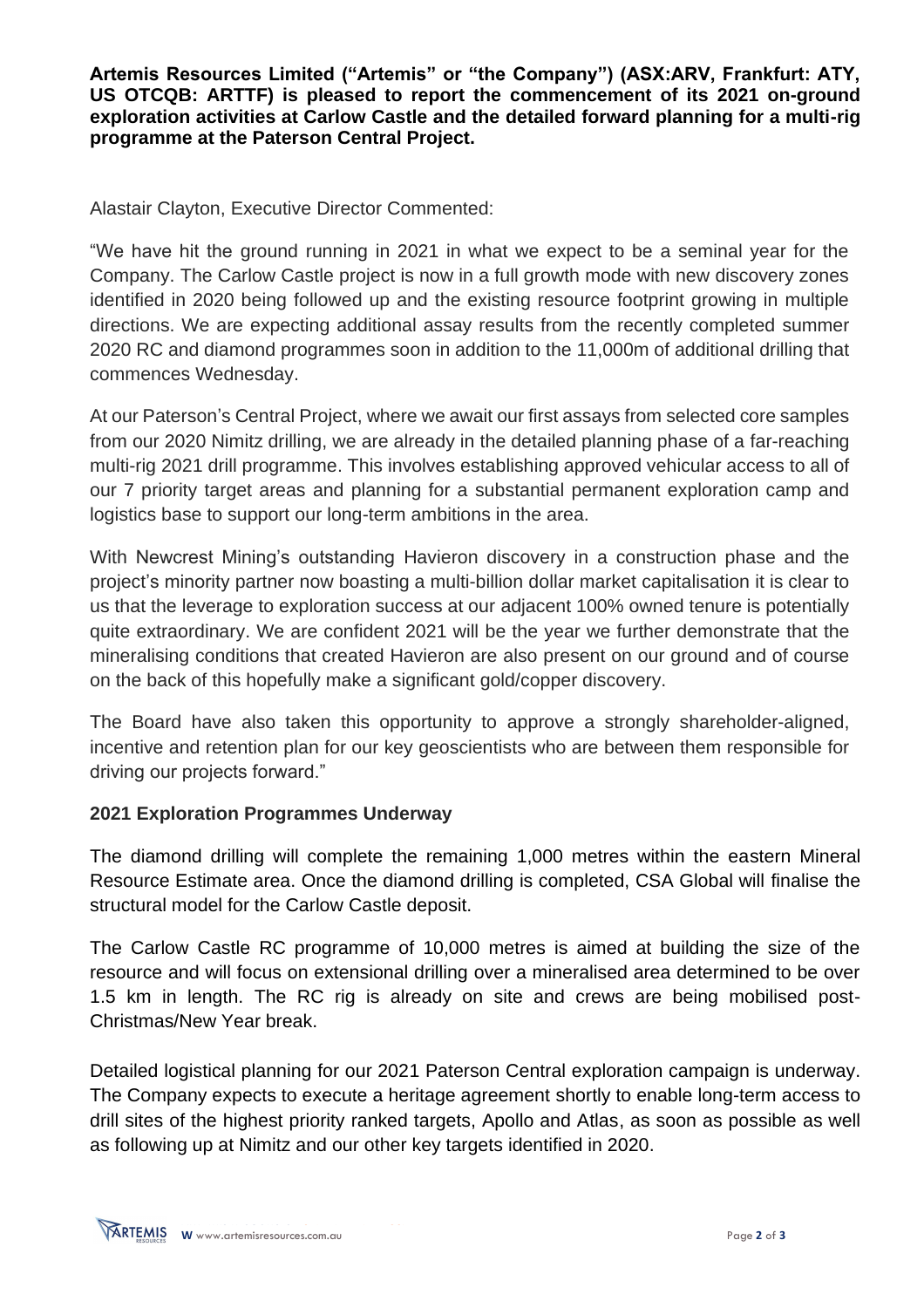**Artemis Resources Limited ("Artemis" or "the Company") (ASX:ARV, Frankfurt: ATY, US OTCQB: ARTTF) is pleased to report the commencement of its 2021 on-ground exploration activities at Carlow Castle and the detailed forward planning for a multi-rig programme at the Paterson Central Project.**

Alastair Clayton, Executive Director Commented:

"We have hit the ground running in 2021 in what we expect to be a seminal year for the Company. The Carlow Castle project is now in a full growth mode with new discovery zones identified in 2020 being followed up and the existing resource footprint growing in multiple directions. We are expecting additional assay results from the recently completed summer 2020 RC and diamond programmes soon in addition to the 11,000m of additional drilling that commences Wednesday.

At our Paterson's Central Project, where we await our first assays from selected core samples from our 2020 Nimitz drilling, we are already in the detailed planning phase of a far-reaching multi-rig 2021 drill programme. This involves establishing approved vehicular access to all of our 7 priority target areas and planning for a substantial permanent exploration camp and logistics base to support our long-term ambitions in the area.

With Newcrest Mining's outstanding Havieron discovery in a construction phase and the project's minority partner now boasting a multi-billion dollar market capitalisation it is clear to us that the leverage to exploration success at our adjacent 100% owned tenure is potentially quite extraordinary. We are confident 2021 will be the year we further demonstrate that the mineralising conditions that created Havieron are also present on our ground and of course on the back of this hopefully make a significant gold/copper discovery.

The Board have also taken this opportunity to approve a strongly shareholder-aligned, incentive and retention plan for our key geoscientists who are between them responsible for driving our projects forward."

#### **2021 Exploration Programmes Underway**

The diamond drilling will complete the remaining 1,000 metres within the eastern Mineral Resource Estimate area. Once the diamond drilling is completed, CSA Global will finalise the structural model for the Carlow Castle deposit.

The Carlow Castle RC programme of 10,000 metres is aimed at building the size of the resource and will focus on extensional drilling over a mineralised area determined to be over 1.5 km in length. The RC rig is already on site and crews are being mobilised post-Christmas/New Year break.

Detailed logistical planning for our 2021 Paterson Central exploration campaign is underway. The Company expects to execute a heritage agreement shortly to enable long-term access to drill sites of the highest priority ranked targets, Apollo and Atlas, as soon as possible as well as following up at Nimitz and our other key targets identified in 2020.